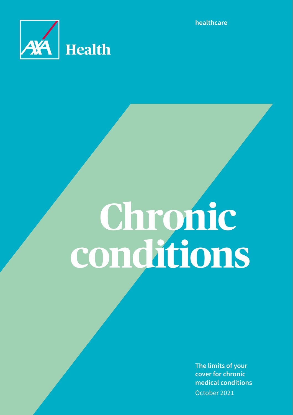

**healthcare**

# **Chronic conditions**

**The limits of your cover for chronic medical conditions** October 2021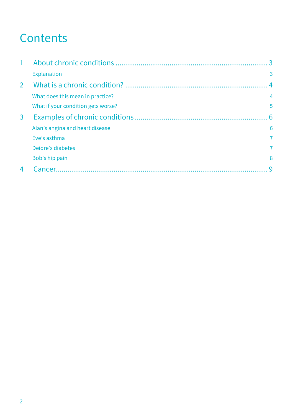# **Contents**

| $\mathbf{1}$  |                                    | 3              |
|---------------|------------------------------------|----------------|
|               | <b>Explanation</b>                 | 3              |
| $\mathcal{P}$ |                                    | $4 \times$     |
|               | What does this mean in practice?   | 4              |
|               | What if your condition gets worse? | 5              |
| 3             |                                    | 6              |
|               | Alan's angina and heart disease    | 6              |
|               | Eve's asthma                       | $\overline{7}$ |
|               | Deidre's diabetes                  | 7              |
|               | Bob's hip pain                     | 8              |
| 4             | Cancer.                            | q              |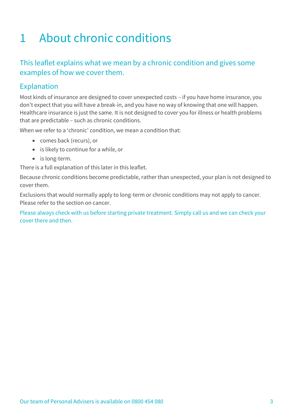# 1 About chronic conditions

# This leaflet explains what we mean by a chronic condition and gives some examples of how we cover them.

# Explanation

Most kinds of insurance are designed to cover unexpected costs – if you have home insurance, you don't expect that you will have a break-in, and you have no way of knowing that one will happen. Healthcare insurance is just the same. It is not designed to cover you for illness or health problems that are predictable – such as chronic conditions.

When we refer to a 'chronic' condition, we mean a condition that:

- comes back (recurs), or
- is likely to continue for a while, or
- is long-term.

There is a full explanation of this later in this leaflet.

Because chronic conditions become predictable, rather than unexpected, your plan is not designed to cover them.

Exclusions that would normally apply to long-term or chronic conditions may not apply to cancer. Please refer to the section on cancer.

Please always check with us before starting private treatment. Simply call us and we can check your cover there and then.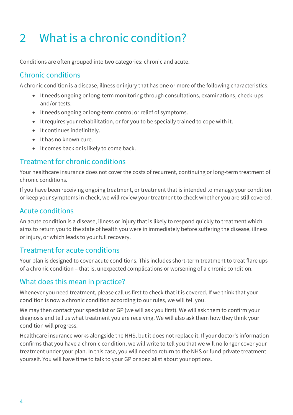# 2 What is a chronic condition?

Conditions are often grouped into two categories: chronic and acute.

# Chronic conditions

A chronic condition is a disease, illness or injury that has one or more of the following characteristics:

- It needs ongoing or long-term monitoring through consultations, examinations, check-ups and/or tests.
- It needs ongoing or long-term control or relief of symptoms.
- It requires your rehabilitation, or for you to be specially trained to cope with it.
- It continues indefinitely.
- It has no known cure.
- It comes back or is likely to come back.

# Treatment for chronic conditions

Your healthcare insurance does not cover the costs of recurrent, continuing or long-term treatment of chronic conditions.

If you have been receiving ongoing treatment, or treatment that is intended to manage your condition or keep your symptoms in check, we will review your treatment to check whether you are still covered.

# Acute conditions

An acute condition is a disease, illness or injury that is likely to respond quickly to treatment which aims to return you to the state of health you were in immediately before suffering the disease, illness or injury, or which leads to your full recovery.

# Treatment for acute conditions

Your plan is designed to cover acute conditions. This includes short-term treatment to treat flare ups of a chronic condition – that is, unexpected complications or worsening of a chronic condition.

# What does this mean in practice?

Whenever you need treatment, please call us first to check that it is covered. If we think that your condition is now a chronic condition according to our rules, we will tell you.

We may then contact your specialist or GP (we will ask you first). We will ask them to confirm your diagnosis and tell us what treatment you are receiving. We will also ask them how they think your condition will progress.

Healthcare insurance works alongside the NHS, but it does not replace it. If your doctor's information confirms that you have a chronic condition, we will write to tell you that we will no longer cover your treatment under your plan. In this case, you will need to return to the NHS or fund private treatment yourself. You will have time to talk to your GP or specialist about your options.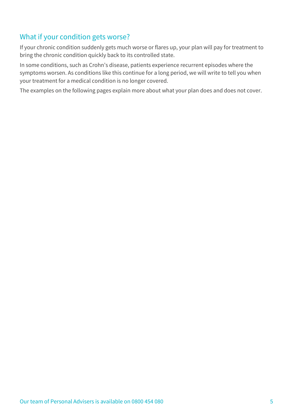# What if your condition gets worse?

If your chronic condition suddenly gets much worse or flares up, your plan will pay for treatment to bring the chronic condition quickly back to its controlled state.

In some conditions, such as Crohn's disease, patients experience recurrent episodes where the symptoms worsen. As conditions like this continue for a long period, we will write to tell you when your treatment for a medical condition is no longer covered.

The examples on the following pages explain more about what your plan does and does not cover.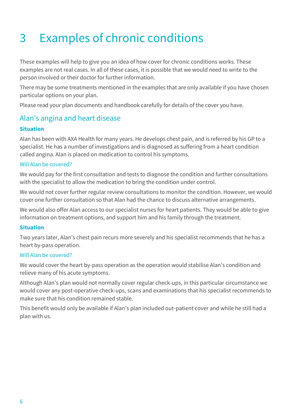# 3 Examples of chronic conditions

These examples will help to give you an idea of how cover for chronic conditions works. These examples are not real cases. In all of these cases, it is possible that we would need to write to the person involved or their doctor for further information.

There may be some treatments mentioned in the examples that are only available if you have chosen particular options on your plan.

Please read your plan documents and handbook carefully for details of the cover you have.

# Alan's angina and heart disease

# **Situation**

Alan has been with AXA Health for many years. He develops chest pain, and is referred by his GP to a specialist. He has a number of investigations and is diagnosed as suffering from a heart condition called angina. Alan is placed on medication to control his symptoms.

# Will Alan be covered?

We would pay for the first consultation and tests to diagnose the condition and further consultations with the specialist to allow the medication to bring the condition under control.

We would not cover further regular review consultations to monitor the condition. However, we would cover one further consultation so that Alan had the chance to discuss alternative arrangements.

We would also offer Alan access to our specialist nurses for heart patients. They would be able to give information on treatment options, and support him and his family through the treatment.

# **Situation**

Two years later, Alan's chest pain recurs more severely and his specialist recommends that he has a heart by-pass operation.

# Will Alan be covered?

We would cover the heart by-pass operation as the operation would stabilise Alan's condition and relieve many of his acute symptoms.

Although Alan's plan would not normally cover regular check-ups, in this particular circumstance we would cover any post-operative check-ups, scans and examinations that his specialist recommends to make sure that his condition remained stable.

This benefit would only be available if Alan's plan included out-patient cover and while he still had a plan with us.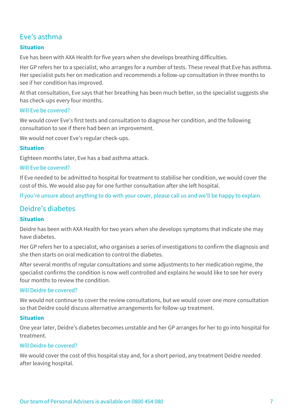# Eve's asthma

# **Situation**

Eve has been with AXA Health for five years when she develops breathing difficulties.

Her GP refers her to a specialist, who arranges for a number of tests. These reveal that Eve has asthma. Her specialist puts her on medication and recommends a follow-up consultation in three months to see if her condition has improved.

At that consultation, Eve says that her breathing has been much better, so the specialist suggests she has check-ups every four months.

# Will Eve be covered?

We would cover Eve's first tests and consultation to diagnose her condition, and the following consultation to see if there had been an improvement.

We would not cover Eve's regular check-ups.

#### **Situation**

Eighteen months later, Eve has a bad asthma attack.

#### Will Eve be covered?

If Eve needed to be admitted to hospital for treatment to stabilise her condition, we would cover the cost of this. We would also pay for one further consultation after she left hospital.

If you're unsure about anything to do with your cover, please call us and we'll be happy to explain.

# Deidre's diabetes

#### **Situation**

Deidre has been with AXA Health for two years when she develops symptoms that indicate she may have diabetes.

Her GP refers her to a specialist, who organises a series of investigations to confirm the diagnosis and she then starts on oral medication to control the diabetes.

After several months of regular consultations and some adjustments to her medication regime, the specialist confirms the condition is now well controlled and explains he would like to see her every four months to review the condition.

#### Will Deidre be covered?

We would not continue to cover the review consultations, but we would cover one more consultation so that Deidre could discuss alternative arrangements for follow-up treatment.

#### **Situation**

One year later, Deidre's diabetes becomes unstable and her GP arranges for her to go into hospital for treatment.

# Will Deidre be covered?

We would cover the cost of this hospital stay and, for a short period, any treatment Deidre needed after leaving hospital.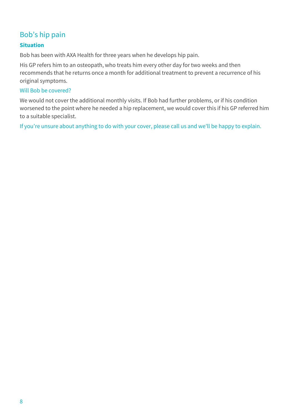# Bob's hip pain

# **Situation**

Bob has been with AXA Health for three years when he develops hip pain.

His GP refers him to an osteopath, who treats him every other day for two weeks and then recommends that he returns once a month for additional treatment to prevent a recurrence of his original symptoms.

#### Will Bob be covered?

We would not cover the additional monthly visits. If Bob had further problems, or if his condition worsened to the point where he needed a hip replacement, we would cover this if his GP referred him to a suitable specialist.

If you're unsure about anything to do with your cover, please call us and we'll be happy to explain.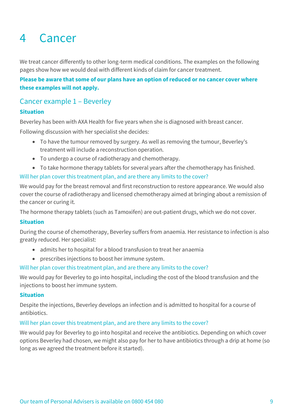# 4 Cancer

We treat cancer differently to other long-term medical conditions. The examples on the following pages show how we would deal with different kinds of claim for cancer treatment.

# **Please be aware that some of our plans have an option of reduced or no cancer cover where these examples will not apply.**

# Cancer example 1 – Beverley

# **Situation**

Beverley has been with AXA Health for five years when she is diagnosed with breast cancer.

Following discussion with her specialist she decides:

- To have the tumour removed by surgery. As well as removing the tumour, Beverley's treatment will include a reconstruction operation.
- To undergo a course of radiotherapy and chemotherapy.
- To take hormone therapy tablets for several years after the chemotherapy has finished.

Will her plan cover this treatment plan, and are there any limits to the cover?

We would pay for the breast removal and first reconstruction to restore appearance. We would also cover the course of radiotherapy and licensed chemotherapy aimed at bringing about a remission of the cancer or curing it.

The hormone therapy tablets (such as Tamoxifen) are out-patient drugs, which we do not cover.

# **Situation**

During the course of chemotherapy, Beverley suffers from anaemia. Her resistance to infection is also greatly reduced. Her specialist:

- admits her to hospital for a blood transfusion to treat her anaemia
- prescribes injections to boost her immune system.

# Will her plan cover this treatment plan, and are there any limits to the cover?

We would pay for Beverley to go into hospital, including the cost of the blood transfusion and the injections to boost her immune system.

# **Situation**

Despite the injections, Beverley develops an infection and is admitted to hospital for a course of antibiotics.

# Will her plan cover this treatment plan, and are there any limits to the cover?

We would pay for Beverley to go into hospital and receive the antibiotics. Depending on which cover options Beverley had chosen, we might also pay for her to have antibiotics through a drip at home (so long as we agreed the treatment before it started).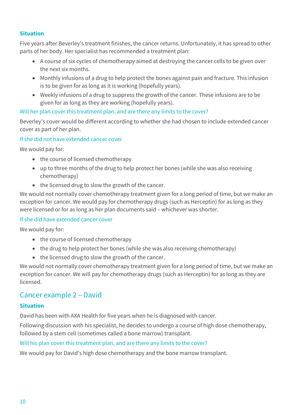# **Situation**

Five years after Beverley's treatment finishes, the cancer returns. Unfortunately, it has spread to other parts of her body. Her specialist has recommended a treatment plan:

- A course of six cycles of chemotherapy aimed at destroying the cancer cells to be given over the next six months.
- Monthly infusions of a drug to help protect the bones against pain and fracture. This infusion is to be given for as long as it is working (hopefully years).
- Weekly infusions of a drug to suppress the growth of the cancer. These infusions are to be given for as long as they are working (hopefully years).

# Will her plan cover this treatment plan, and are there any limits to the cover?

Beverley's cover would be different according to whether she had chosen to include extended cancer cover as part of her plan.

If she did not have extended cancer cover

We would pay for:

- the course of licensed chemotherapy
- up to three months of the drug to help protect her bones (while she was also receiving chemotherapy)
- the licensed drug to slow the growth of the cancer.

We would not normally cover chemotherapy treatment given for a long period of time, but we make an exception for cancer. We would pay for chemotherapy drugs (such as Herceptin) for as long as they were licensed or for as long as her plan documents said – whichever was shorter.

# If she did have extended cancer cover

We would pay for:

- the course of licensed chemotherapy
- the drug to help protect her bones (while she was also receiving chemotherapy)
- the licensed drug to slow the growth of the cancer.

We would not normally cover chemotherapy treatment given for a long period of time, but we make an exception for cancer. We will pay for chemotherapy drugs (such as Herceptin) for as long as they are licensed.

# Cancer example 2 – David

# **Situation**

David has been with AXA Health for five years when he is diagnosed with cancer.

Following discussion with his specialist, he decides to undergo a course of high dose chemotherapy, followed by a stem cell (sometimes called a bone marrow) transplant.

# Will his plan cover this treatment plan, and are there any limits to the cover?

We would pay for David's high dose chemotherapy and the bone marrow transplant.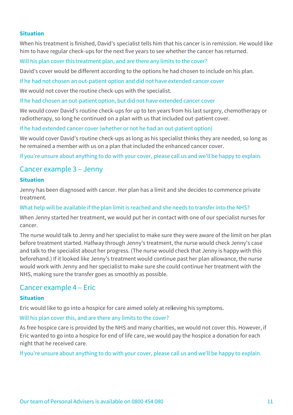#### **Situation**

When his treatment is finished, David's specialist tells him that his cancer is in remission. He would like him to have regular check-ups for the next five years to see whether the cancer has returned.

Will his plan cover this treatment plan, and are there any limits to the cover?

David's cover would be different according to the options he had chosen to include on his plan.

If he had not chosen an out-patient option and did not have extended cancer cover

We would not cover the routine check-ups with the specialist.

If he had chosen an out-patient option, but did not have extended cancer cover

We would cover David's routine check-ups for up to ten years from his last surgery, chemotherapy or radiotherapy, so long he continued on a plan with us that included out-patient cover.

If he had extended cancer cover (whether or not he had an out-patient option)

We would cover David's routine check-ups as long as his specialist thinks they are needed, so long as he remained a member with us on a plan that included the enhanced cancer cover.

If you're unsure about anything to do with your cover, please call us and we'll be happy to explain.

# Cancer example 3 – Jenny

# **Situation**

Jenny has been diagnosed with cancer. Her plan has a limit and she decides to commence private treatment.

#### What help will be available if the plan limit is reached and she needs to transfer into the NHS?

When Jenny started her treatment, we would put her in contact with one of our specialist nurses for cancer.

The nurse would talk to Jenny and her specialist to make sure they were aware of the limit on her plan before treatment started. Halfway through Jenny's treatment, the nurse would check Jenny's case and talk to the specialist about her progress. (The nurse would check that Jenny is happy with this beforehand.) If it looked like Jenny's treatment would continue past her plan allowance, the nurse would work with Jenny and her specialist to make sure she could continue her treatment with the NHS, making sure the transfer goes as smoothly as possible.

# Cancer example 4 – Eric

#### **Situation**

Eric would like to go into a hospice for care aimed solely at rel**i**eving his symptoms.

#### Will his plan cover this, and are there any limits to the cover?

As free hospice care is provided by the NHS and many charities, we would not cover this. However, if Eric wanted to go into a hospice for end of life care, we would pay the hospice a donation for each night that he received care.

If you're unsure about anything to do with your cover, please call us and we'll be happy to explain.